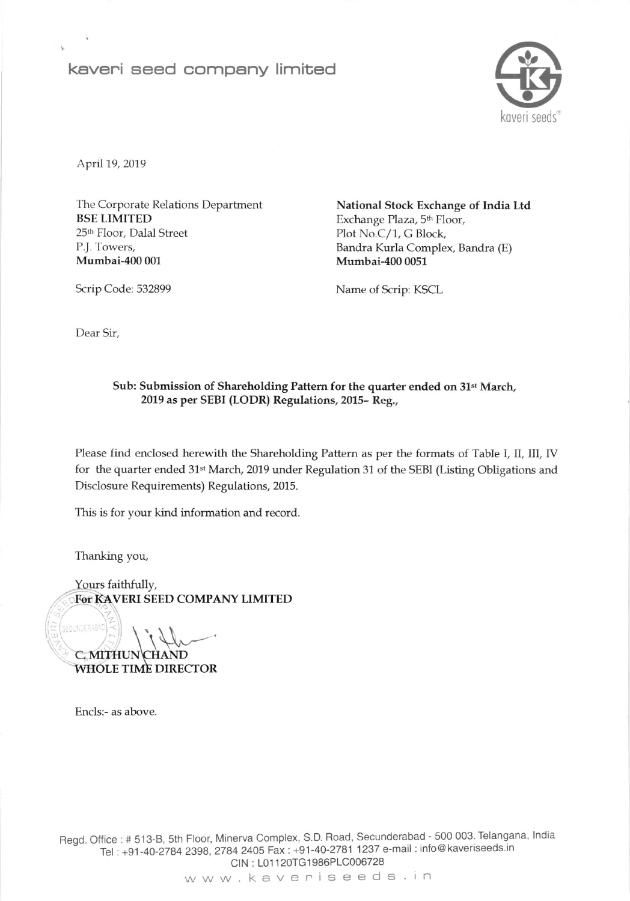## keveni seed company limited



April 19, 2019

The Corporate Relations Department BSE LIMITED 25<sup>th</sup> Floor, Dalal Street P.J. Towers, Mumbai-400 001

National Stock Exchange of India Ltd Exchange Plaza, 5<sup>th</sup> Floor, Plot No.C/1, G Block, Bandra Kurla Complex, Bandra (E) Mumbai-400 0051

Name of Scrip: KSCL

Dear Sir,

Scrip Code: 532899

## Sub: Submission of Shareholding Pattern for the quarter ended on 31<sup>st</sup> March, 2019 as per SEBI (LODR) Regulations, 2015- Reg.,

Please find enclosed herewith the Shareholding Pattern as per the formats of Table I, II, III, IV for the quarter ended 31<sup>st</sup> March, 2019 under Regulation 31 of the SEBI (Listing Obligations and Disclosure Requirements) Regulations, 2015.

This is for your kind information and record.

Thanking you,

ECUNDER4BAD

Yours faithfullv, For KAVERI SEED COMPANY LIMITED

C. MITH WHOLE TIME DIRECTOR  $\mathcal{L}$ 

Encls:- as above.

Regd. Office : # 513-B, 5th Floor, Minerva Complex, S.D. Road, Secunderabad - 500 003. Telangana, India Tel : +91-40-2784 2398, 2784 2405 Fax : +91-40-2781 1237 e-mail : info@kaveriseeds.ir CIN: L01120TG1986PLC006728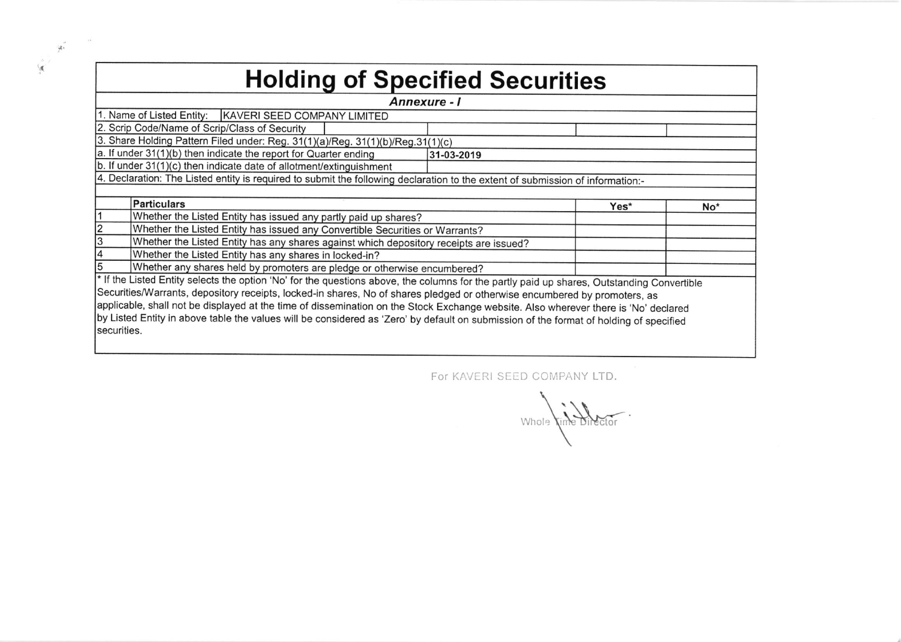| <b>Holding of Specified Securities</b>                                                                                                     |                                                                                        |      |                 |  |  |  |  |  |  |  |  |
|--------------------------------------------------------------------------------------------------------------------------------------------|----------------------------------------------------------------------------------------|------|-----------------|--|--|--|--|--|--|--|--|
| Annexure - I                                                                                                                               |                                                                                        |      |                 |  |  |  |  |  |  |  |  |
| 1. Name of Listed Entity:<br>KAVERI SEED COMPANY LIMITED                                                                                   |                                                                                        |      |                 |  |  |  |  |  |  |  |  |
| 2. Scrip Code/Name of Scrip/Class of Security                                                                                              |                                                                                        |      |                 |  |  |  |  |  |  |  |  |
| 3. Share Holding Pattern Filed under: Reg. 31(1)(a)/Reg. 31(1)(b)/Reg.31(1)(c)                                                             |                                                                                        |      |                 |  |  |  |  |  |  |  |  |
|                                                                                                                                            | a. If under 31(1)(b) then indicate the report for Quarter ending                       |      |                 |  |  |  |  |  |  |  |  |
|                                                                                                                                            | b. If under $31(1)(c)$ then indicate date of allotment/extinguishment                  |      |                 |  |  |  |  |  |  |  |  |
| 4. Declaration: The Listed entity is required to submit the following declaration to the extent of submission of information:-             |                                                                                        |      |                 |  |  |  |  |  |  |  |  |
|                                                                                                                                            |                                                                                        |      |                 |  |  |  |  |  |  |  |  |
|                                                                                                                                            | Particulars                                                                            | Yes* | No <sup>*</sup> |  |  |  |  |  |  |  |  |
|                                                                                                                                            | Whether the Listed Entity has issued any partly paid up shares?                        |      |                 |  |  |  |  |  |  |  |  |
|                                                                                                                                            | Whether the Listed Entity has issued any Convertible Securities or Warrants?           |      |                 |  |  |  |  |  |  |  |  |
| 3                                                                                                                                          | Whether the Listed Entity has any shares against which depository receipts are issued? |      |                 |  |  |  |  |  |  |  |  |
| 4                                                                                                                                          | Whether the Listed Entity has any shares in locked-in?                                 |      |                 |  |  |  |  |  |  |  |  |
| Whether any shares held by promoters are pledge or otherwise encumbered?                                                                   |                                                                                        |      |                 |  |  |  |  |  |  |  |  |
| * If the Listed Entity selects the option 'No' for the questions above, the columns for the partly paid up shares, Outstanding Convertible |                                                                                        |      |                 |  |  |  |  |  |  |  |  |
| Securities/Warrants, depository receipts, locked-in shares, No of shares pledged or otherwise encumbered by promoters, as                  |                                                                                        |      |                 |  |  |  |  |  |  |  |  |
| applicable, shall not be displayed at the time of dissemination on the Stock Exchange website. Also wherever there is 'No' declared        |                                                                                        |      |                 |  |  |  |  |  |  |  |  |
| by Listed Entity in above table the values will be considered as 'Zero' by default on submission of the format of holding of specified     |                                                                                        |      |                 |  |  |  |  |  |  |  |  |
| securities.                                                                                                                                |                                                                                        |      |                 |  |  |  |  |  |  |  |  |
|                                                                                                                                            |                                                                                        |      |                 |  |  |  |  |  |  |  |  |

I

 $\overline{\mathcal{F}}$ 

For KAVERI SEED COMPANY LTD.

Whole time Director.